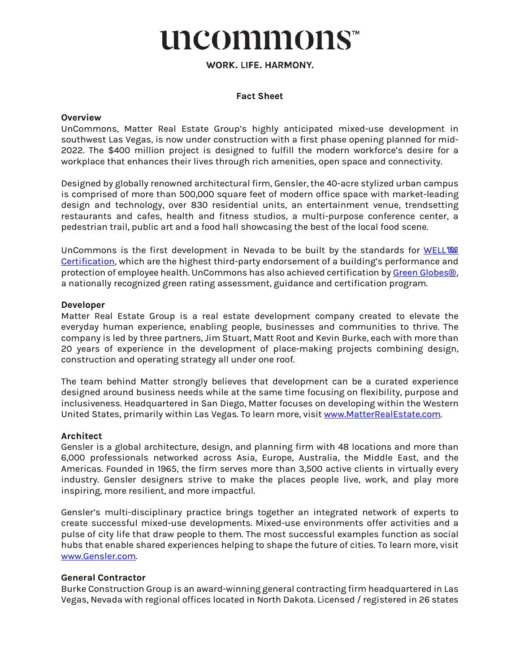# uncommons™

# WORK. LIFE. HARMONY.

#### **Fact Sheet**

#### **Overview**

UnCommons, Matter Real Estate Group's highly anticipated mixed-use development in southwest Las Vegas, is now under construction with a first phase opening planned for mid-2022. The \$400 million project is designed to fulfill the modern workforce's desire for a workplace that enhances their lives through rich amenities, open space and connectivity.

Designed by globally renowned architectural firm, Gensler, the 40-acre stylized urban campus is comprised of more than 500,000 square feet of modern office space with market-leading design and technology, over 830 residential units, an entertainment venue, trendsetting restaurants and cafes, health and fitness studios, a multi-purpose conference center, a pedestrian trail, public art and a food hall showcasing the best of the local food scene.

UnCommons is the first development in Nevada to be built by the standards for [WELL](https://www.wellcertified.com/)™ [Certification,](https://www.wellcertified.com/) which are the highest third-party endorsement of a building's performance and protection of employee health. UnCommons has also achieved certification by [Green Globes](https://thegbi.org/green-globes-certification/why-green-globes/compare?gclid=Cj0KCQjw_4-SBhCgARIsAAlegrX54G1gENslcRTsCV60o2ylp7bhFdEPnEnSBN0XfzUdxsIacQspTb8aAkdiEALw_wcB)[®](https://thegbi.org/green-globes-certification/why-green-globes/compare?gclid=Cj0KCQjw_4-SBhCgARIsAAlegrX54G1gENslcRTsCV60o2ylp7bhFdEPnEnSBN0XfzUdxsIacQspTb8aAkdiEALw_wcB), a nationally recognized green rating assessment, guidance and certification program.

#### **Developer**

Matter Real Estate Group is a real estate development company created to elevate the everyday human experience, enabling people, businesses and communities to thrive. The company is led by three partners, Jim Stuart, Matt Root and Kevin Burke, each with more than 20 years of experience in the development of place-making projects combining design, construction and operating strategy all under one roof.

The team behind Matter strongly believes that development can be a curated experience designed around business needs while at the same time focusing on flexibility, purpose and inclusiveness. Headquartered in San Diego, Matter focuses on developing within the Western United States, primarily within Las Vegas. To learn more, visi[t www.MatterRealEstate.com.](http://www.matterrealestate.com/) 

#### **Architect**

Gensler is a global architecture, design, and planning firm with 48 locations and more than 6,000 professionals networked across Asia, Europe, Australia, the Middle East, and the Americas. Founded in 1965, the firm serves more than 3,500 active clients in virtually every industry. Gensler designers strive to make the places people live, work, and play more inspiring, more resilient, and more impactful.

Gensler's multi-disciplinary practice brings together an integrated network of experts to create successful mixed-use developments. Mixed-use environments offer activities and a pulse of city life that draw people to them. The most successful examples function as social hubs that enable shared experiences helping to shape the future of cities. To learn more, visit [www.Gensler.com.](http://www.gensler.com/) 

#### **General Contractor**

Burke Construction Group is an award-winning general contracting firm headquartered in Las Vegas, Nevada with regional offices located in North Dakota. Licensed / registered in 26 states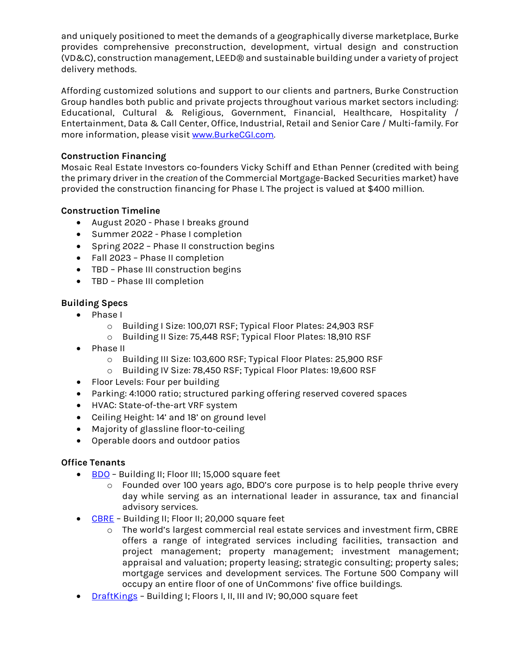and uniquely positioned to meet the demands of a geographically diverse marketplace, Burke provides comprehensive preconstruction, development, virtual design and construction (VD&C), construction management, LEED® and sustainable building under a variety of project delivery methods.

Affording customized solutions and support to our clients and partners, Burke Construction Group handles both public and private projects throughout various market sectors including: Educational, Cultural & Religious, Government, Financial, Healthcare, Hospitality / Entertainment, Data & Call Center, Office, Industrial, Retail and Senior Care / Multi-family. For more information, please visit [www.BurkeCGI.com](http://www.burkecgi.com/)*.*

# **Construction Financing**

Mosaic Real Estate Investors co-founders Vicky Schiff and Ethan Penner (credited with being the primary driver in the *creation* of the Commercial Mortgage-Backed Securities market) have provided the construction financing for Phase I. The project is valued at \$400 million.

## **Construction Timeline**

- August 2020 Phase I breaks ground
- Summer 2022 Phase I completion
- Spring 2022 Phase II construction begins
- Fall 2023 Phase II completion
- TBD Phase III construction begins
- TBD Phase III completion

# **Building Specs**

- Phase I
	- o Building I Size: 100,071 RSF; Typical Floor Plates: 24,903 RSF
	- o Building II Size: 75,448 RSF; Typical Floor Plates: 18,910 RSF
- Phase II
	- o Building III Size: 103,600 RSF; Typical Floor Plates: 25,900 RSF
	- o Building IV Size: 78,450 RSF; Typical Floor Plates: 19,600 RSF
- Floor Levels: Four per building
- Parking: 4:1000 ratio; structured parking offering reserved covered spaces
- HVAC: State-of-the-art VRF system
- Ceiling Height: 14' and 18' on ground level
- Majority of glassline floor-to-ceiling
- Operable doors and outdoor patios

## **Office Tenants**

- [BDO](https://www.bdo.com/)  Building II; Floor III; 15,000 square feet
	- o Founded over 100 years ago, BDO's core purpose is to help people thrive every day while serving as an international leader in assurance, tax and financial advisory services.
- [CBRE](https://www.cbre.us/)  Building II; Floor II; 20,000 square feet
	- o The world's largest commercial real estate services and investment firm, CBRE offers a range of integrated services including facilities, transaction and project management; property management; investment management; appraisal and valuation; property leasing; strategic consulting; property sales; mortgage services and development services. The Fortune 500 Company will occupy an entire floor of one of UnCommons' five office buildings.
- [DraftKings](https://www.draftkings.com/)  Building I; Floors I, II, III and IV; 90,000 square feet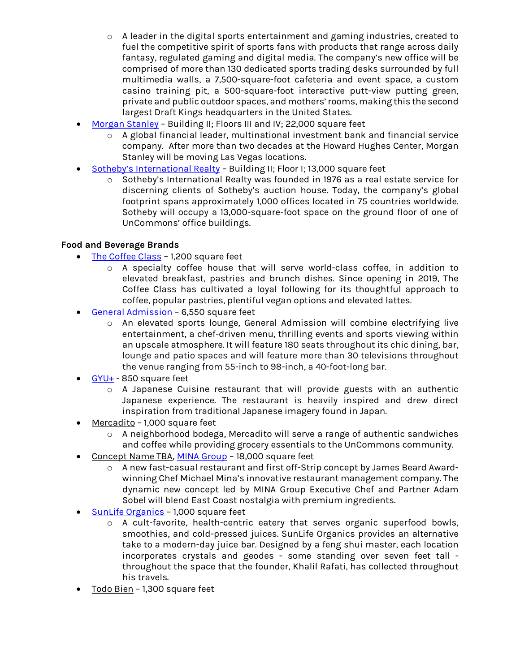- $\circ$  A leader in the digital sports entertainment and gaming industries, created to fuel the competitive spirit of sports fans with products that range across daily fantasy, regulated gaming and digital media. The company's new office will be comprised of more than 130 dedicated sports trading desks surrounded by full multimedia walls, a 7,500-square-foot cafeteria and event space, a custom casino training pit, a 500-square-foot interactive putt-view putting green, private and public outdoor spaces, and mothers' rooms, making this the second largest Draft Kings headquarters in the United States.
- [Morgan Stanley](https://www.morganstanley.com/)  Building II; Floors III and IV; 22,000 square feet
	- o A global financial leader, multinational investment bank and financial service company. After more than two decades at the Howard Hughes Center, Morgan Stanley will be moving Las Vegas locations.
- [Sotheby's International Realty](https://www.sothebysrealty.com/eng)  Building II; Floor I; 13,000 square feet
	- o Sotheby's International Realty was founded in 1976 as a real estate service for discerning clients of Sotheby's auction house. Today, the company's global footprint spans approximately 1,000 offices located in 75 countries worldwide. Sotheby will occupy a 13,000-square-foot space on the ground floor of one of UnCommons' office buildings.

## **Food and Beverage Brands**

- [The Coffee Class](https://thecoffeeclass.com/)  1,200 square feet
	- o A specialty coffee house that will serve world-class coffee, in addition to elevated breakfast, pastries and brunch dishes. Since opening in 2019, The Coffee Class has cultivated a loyal following for its thoughtful approach to coffee, popular pastries, plentiful vegan options and elevated lattes.
- [General Admission](https://www.generaladmissionla.com/)  6,550 square feet
	- o An elevated sports lounge, General Admission will combine electrifying live entertainment, a chef-driven menu, thrilling events and sports viewing within an upscale atmosphere. It will feature 180 seats throughout its chic dining, bar, lounge and patio spaces and will feature more than 30 televisions throughout the venue ranging from 55-inch to 98-inch, a 40-foot-long bar.
- $GYU+ 850$  $GYU+ 850$  square feet
	- o A Japanese Cuisine restaurant that will provide guests with an authentic Japanese experience. The restaurant is heavily inspired and drew direct inspiration from traditional Japanese imagery found in Japan.
- Mercadito 1,000 square feet
	- o A neighborhood bodega, Mercadito will serve a range of authentic sandwiches and coffee while providing grocery essentials to the UnCommons community.
- Concept Name TBA, [MINA Group](https://www.michaelmina.net/)  18,000 square feet
	- o A new fast-casual restaurant and first off-Strip concept by James Beard Awardwinning Chef Michael Mina's innovative restaurant management company. The dynamic new concept led by MINA Group Executive Chef and Partner Adam Sobel will blend East Coast nostalgia with premium ingredients.
- [SunLife Organics](https://sunlifeorganics.com/)  1,000 square feet
	- o A cult-favorite, health-centric eatery that serves organic superfood bowls, smoothies, and cold-pressed juices. SunLife Organics provides an alternative take to a modern-day juice bar. Designed by a feng shui master, each location incorporates crystals and geodes - some standing over seven feet tall throughout the space that the founder, Khalil Rafati, has collected throughout his travels.
- Todo Bien 1,300 square feet